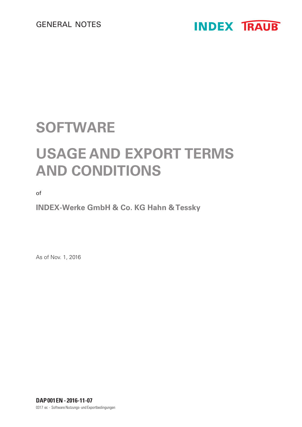

## **SOFTWARE**

# **USAGE AND EXPORT TERMS AND CONDITIONS**

of

**INDEX-Werke GmbH & Co. KG Hahn & Tessky**

As of Nov. 1, 2016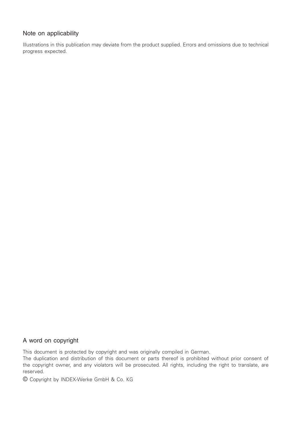### Note on applicability

Illustrations in this publication may deviate from the product supplied. Errors and omissions due to technical progress expected.

#### A word on copyright

This document is protected by copyright and was originally compiled in German.

The duplication and distribution of this document or parts thereof is prohibited without prior consent of the copyright owner, and any violators will be prosecuted. All rights, including the right to translate, are reserved.

© Copyright by INDEX-Werke GmbH & Co. KG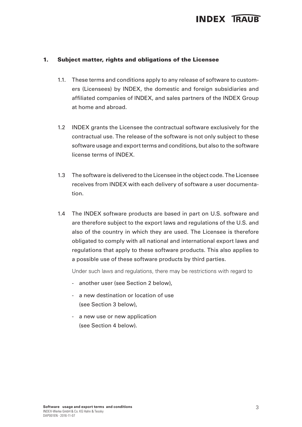#### 1. Subject matter, rights and obligations of the Licensee

- 1.1. These terms and conditions apply to any release of software to customers (Licensees) by INDEX, the domestic and foreign subsidiaries and affiliated companies of INDEX, and sales partners of the INDEX Group at home and abroad.
- 1.2 INDEX grants the Licensee the contractual software exclusively for the contractual use. The release of the software is not only subject to these software usage and export terms and conditions, but also to the software license terms of INDEX.
- 1.3 The software is delivered to the Licensee in the object code. The Licensee receives from INDEX with each delivery of software a user documentation.
- 1.4 The INDEX software products are based in part on U.S. software and are therefore subject to the export laws and regulations of the U.S. and also of the country in which they are used. The Licensee is therefore obligated to comply with all national and international export laws and regulations that apply to these software products. This also applies to a possible use of these software products by third parties.

Under such laws and regulations, there may be restrictions with regard to

- another user (see Section 2 below),
- a new destination or location of use (see Section 3 below),
- a new use or new application (see Section 4 below).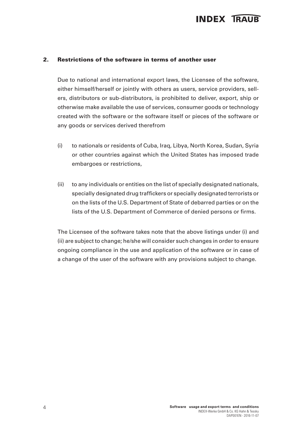#### 2. Restrictions of the software in terms of another user

Due to national and international export laws, the Licensee of the software, either himself/herself or jointly with others as users, service providers, sellers, distributors or sub-distributors, is prohibited to deliver, export, ship or otherwise make available the use of services, consumer goods or technology created with the software or the software itself or pieces of the software or any goods or services derived therefrom

- (i) to nationals or residents of Cuba, Iraq, Libya, North Korea, Sudan, Syria or other countries against which the United States has imposed trade embargoes or restrictions,
- (ii) to any individuals or entities on the list of specially designated nationals, specially designated drug traffickers or specially designated terrorists or on the lists of the U.S. Department of State of debarred parties or on the lists of the U.S. Department of Commerce of denied persons or firms.

The Licensee of the software takes note that the above listings under (i) and (ii) are subject to change; he/she will consider such changes in order to ensure ongoing compliance in the use and application of the software or in case of a change of the user of the software with any provisions subject to change.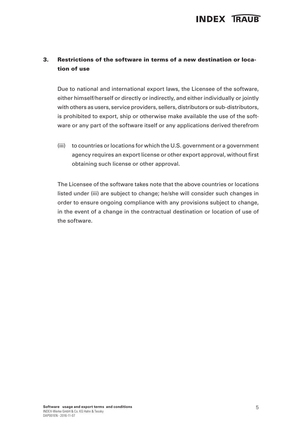### 3. Restrictions of the software in terms of a new destination or location of use

Due to national and international export laws, the Licensee of the software, either himself/herself or directly or indirectly, and either individually or jointly with others as users, service providers, sellers, distributors or sub-distributors, is prohibited to export, ship or otherwise make available the use of the software or any part of the software itself or any applications derived therefrom

(iii) to countries or locations for which the U.S. government or a government agency requires an export license or other export approval, without first obtaining such license or other approval.

The Licensee of the software takes note that the above countries or locations listed under (iii) are subject to change; he/she will consider such changes in order to ensure ongoing compliance with any provisions subject to change, in the event of a change in the contractual destination or location of use of the software.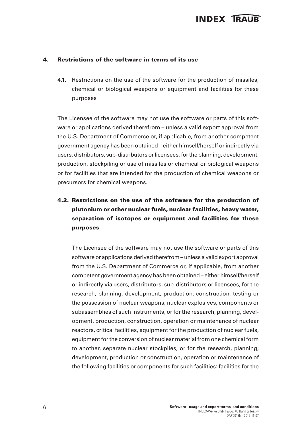#### 4. Restrictions of the software in terms of its use

4.1. Restrictions on the use of the software for the production of missiles, chemical or biological weapons or equipment and facilities for these purposes

The Licensee of the software may not use the software or parts of this software or applications derived therefrom – unless a valid export approval from the U.S. Department of Commerce or, if applicable, from another competent government agency has been obtained – either himself/herself or indirectly via users, distributors, sub-distributors or licensees, for the planning, development, production, stockpiling or use of missiles or chemical or biological weapons or for facilities that are intended for the production of chemical weapons or precursors for chemical weapons.

### 4.2. Restrictions on the use of the software for the production of plutonium or other nuclear fuels, nuclear facilities, heavy water, separation of isotopes or equipment and facilities for these purposes

The Licensee of the software may not use the software or parts of this software or applications derived therefrom – unless a valid export approval from the U.S. Department of Commerce or, if applicable, from another competent government agency has been obtained – either himself/herself or indirectly via users, distributors, sub-distributors or licensees, for the research, planning, development, production, construction, testing or the possession of nuclear weapons, nuclear explosives, components or subassemblies of such instruments, or for the research, planning, development, production, construction, operation or maintenance of nuclear reactors, critical facilities, equipment for the production of nuclear fuels, equipment for the conversion of nuclear material from one chemical form to another, separate nuclear stockpiles, or for the research, planning, development, production or construction, operation or maintenance of the following facilities or components for such facilities: facilities for the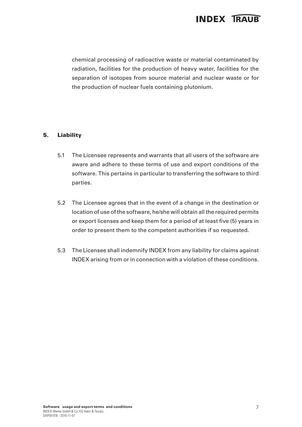chemical processing of radioactive waste or material contaminated by radiation, facilities for the production of heavy water, facilities for the separation of isotopes from source material and nuclear waste or for the production of nuclear fuels containing plutonium.

### 5. Liability

- 5.1 The Licensee represents and warrants that all users of the software are aware and adhere to these terms of use and export conditions of the software. This pertains in particular to transferring the software to third parties.
- 5.2 The Licensee agrees that in the event of a change in the destination or location of use of the software, he/she will obtain all the required permits or export licenses and keep them for a period of at least five (5) years in order to present them to the competent authorities if so requested.
- 5.3 The Licensee shall indemnify INDEX from any liability for claims against INDEX arising from or in connection with a violation of these conditions.